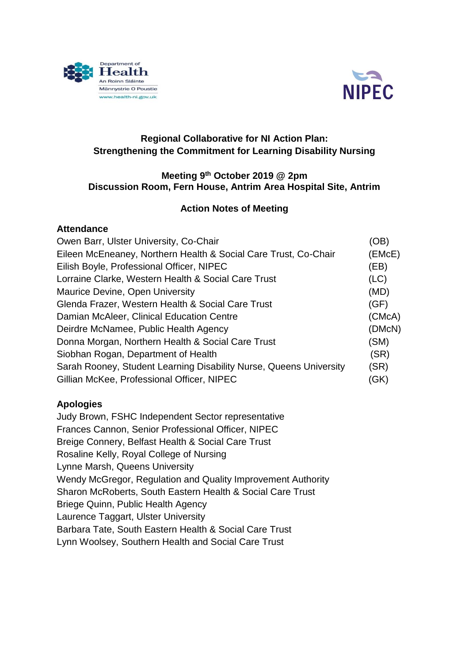



## **Regional Collaborative for NI Action Plan: Strengthening the Commitment for Learning Disability Nursing**

#### **Meeting 9th October 2019 @ 2pm Discussion Room, Fern House, Antrim Area Hospital Site, Antrim**

### **Action Notes of Meeting**

### **Attendance**

| Owen Barr, Ulster University, Co-Chair                             | (OB)   |
|--------------------------------------------------------------------|--------|
| Eileen McEneaney, Northern Health & Social Care Trust, Co-Chair    | (EMcE) |
| Eilish Boyle, Professional Officer, NIPEC                          | (EB)   |
| Lorraine Clarke, Western Health & Social Care Trust                | (LC)   |
| Maurice Devine, Open University                                    | (MD)   |
| Glenda Frazer, Western Health & Social Care Trust                  | (GF)   |
| Damian McAleer, Clinical Education Centre                          | (CMcA) |
| Deirdre McNamee, Public Health Agency                              | (DMcN) |
| Donna Morgan, Northern Health & Social Care Trust                  | (SM)   |
| Siobhan Rogan, Department of Health                                | (SR)   |
| Sarah Rooney, Student Learning Disability Nurse, Queens University | (SR)   |
| Gillian McKee, Professional Officer, NIPEC                         | (GK)   |
|                                                                    |        |

### **Apologies**

Judy Brown, FSHC Independent Sector representative Frances Cannon, Senior Professional Officer, NIPEC Breige Connery, Belfast Health & Social Care Trust Rosaline Kelly, Royal College of Nursing Lynne Marsh, Queens University Wendy McGregor, Regulation and Quality Improvement Authority Sharon McRoberts, South Eastern Health & Social Care Trust Briege Quinn, Public Health Agency Laurence Taggart, Ulster University Barbara Tate, South Eastern Health & Social Care Trust Lynn Woolsey, Southern Health and Social Care Trust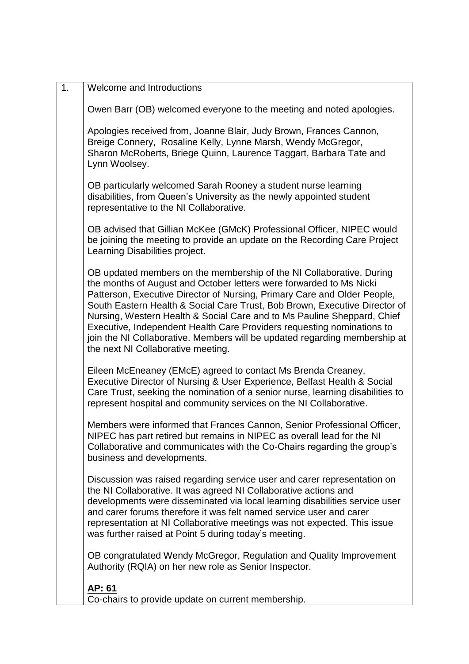| 1. | Welcome and Introductions                                                                                                                                                                                                                                                                                                                                                                                                                                                                                                                                                      |
|----|--------------------------------------------------------------------------------------------------------------------------------------------------------------------------------------------------------------------------------------------------------------------------------------------------------------------------------------------------------------------------------------------------------------------------------------------------------------------------------------------------------------------------------------------------------------------------------|
|    | Owen Barr (OB) welcomed everyone to the meeting and noted apologies.                                                                                                                                                                                                                                                                                                                                                                                                                                                                                                           |
|    | Apologies received from, Joanne Blair, Judy Brown, Frances Cannon,<br>Breige Connery, Rosaline Kelly, Lynne Marsh, Wendy McGregor,<br>Sharon McRoberts, Briege Quinn, Laurence Taggart, Barbara Tate and<br>Lynn Woolsey.                                                                                                                                                                                                                                                                                                                                                      |
|    | OB particularly welcomed Sarah Rooney a student nurse learning<br>disabilities, from Queen's University as the newly appointed student<br>representative to the NI Collaborative.                                                                                                                                                                                                                                                                                                                                                                                              |
|    | OB advised that Gillian McKee (GMcK) Professional Officer, NIPEC would<br>be joining the meeting to provide an update on the Recording Care Project<br>Learning Disabilities project.                                                                                                                                                                                                                                                                                                                                                                                          |
|    | OB updated members on the membership of the NI Collaborative. During<br>the months of August and October letters were forwarded to Ms Nicki<br>Patterson, Executive Director of Nursing, Primary Care and Older People,<br>South Eastern Health & Social Care Trust, Bob Brown, Executive Director of<br>Nursing, Western Health & Social Care and to Ms Pauline Sheppard, Chief<br>Executive, Independent Health Care Providers requesting nominations to<br>join the NI Collaborative. Members will be updated regarding membership at<br>the next NI Collaborative meeting. |
|    | Eileen McEneaney (EMcE) agreed to contact Ms Brenda Creaney,<br>Executive Director of Nursing & User Experience, Belfast Health & Social<br>Care Trust, seeking the nomination of a senior nurse, learning disabilities to<br>represent hospital and community services on the NI Collaborative.                                                                                                                                                                                                                                                                               |
|    | Members were informed that Frances Cannon, Senior Professional Officer,<br>NIPEC has part retired but remains in NIPEC as overall lead for the NI<br>Collaborative and communicates with the Co-Chairs regarding the group's<br>business and developments.                                                                                                                                                                                                                                                                                                                     |
|    | Discussion was raised regarding service user and carer representation on<br>the NI Collaborative. It was agreed NI Collaborative actions and<br>developments were disseminated via local learning disabilities service user<br>and carer forums therefore it was felt named service user and carer<br>representation at NI Collaborative meetings was not expected. This issue<br>was further raised at Point 5 during today's meeting.                                                                                                                                        |
|    | OB congratulated Wendy McGregor, Regulation and Quality Improvement<br>Authority (RQIA) on her new role as Senior Inspector.                                                                                                                                                                                                                                                                                                                                                                                                                                                   |
|    | <u>AP: 61</u><br>Co-chairs to provide update on current membership.                                                                                                                                                                                                                                                                                                                                                                                                                                                                                                            |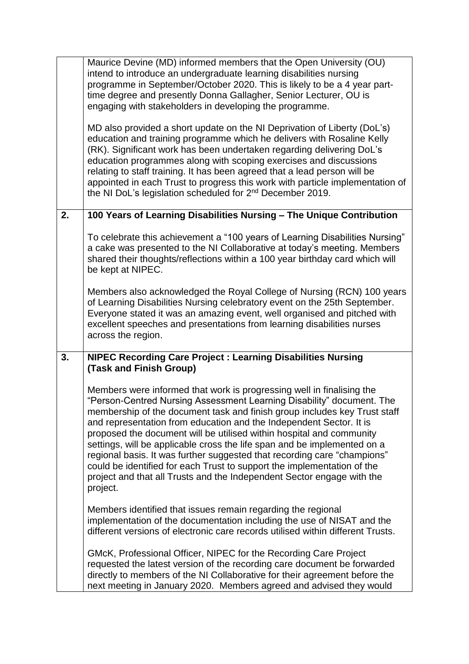|    | Maurice Devine (MD) informed members that the Open University (OU)<br>intend to introduce an undergraduate learning disabilities nursing<br>programme in September/October 2020. This is likely to be a 4 year part-<br>time degree and presently Donna Gallagher, Senior Lecturer, OU is<br>engaging with stakeholders in developing the programme.                                                                                                                                                                                                                                                                                                                                                |  |  |
|----|-----------------------------------------------------------------------------------------------------------------------------------------------------------------------------------------------------------------------------------------------------------------------------------------------------------------------------------------------------------------------------------------------------------------------------------------------------------------------------------------------------------------------------------------------------------------------------------------------------------------------------------------------------------------------------------------------------|--|--|
|    | MD also provided a short update on the NI Deprivation of Liberty (DoL's)<br>education and training programme which he delivers with Rosaline Kelly<br>(RK). Significant work has been undertaken regarding delivering DoL's<br>education programmes along with scoping exercises and discussions<br>relating to staff training. It has been agreed that a lead person will be<br>appointed in each Trust to progress this work with particle implementation of<br>the NI DoL's legislation scheduled for 2 <sup>nd</sup> December 2019.                                                                                                                                                             |  |  |
| 2. | 100 Years of Learning Disabilities Nursing - The Unique Contribution                                                                                                                                                                                                                                                                                                                                                                                                                                                                                                                                                                                                                                |  |  |
|    | To celebrate this achievement a "100 years of Learning Disabilities Nursing"<br>a cake was presented to the NI Collaborative at today's meeting. Members<br>shared their thoughts/reflections within a 100 year birthday card which will<br>be kept at NIPEC.                                                                                                                                                                                                                                                                                                                                                                                                                                       |  |  |
|    | Members also acknowledged the Royal College of Nursing (RCN) 100 years<br>of Learning Disabilities Nursing celebratory event on the 25th September.<br>Everyone stated it was an amazing event, well organised and pitched with<br>excellent speeches and presentations from learning disabilities nurses<br>across the region.                                                                                                                                                                                                                                                                                                                                                                     |  |  |
| 3. | <b>NIPEC Recording Care Project: Learning Disabilities Nursing</b><br>(Task and Finish Group)                                                                                                                                                                                                                                                                                                                                                                                                                                                                                                                                                                                                       |  |  |
|    | Members were informed that work is progressing well in finalising the<br>"Person-Centred Nursing Assessment Learning Disability" document. The<br>membership of the document task and finish group includes key Trust staff<br>and representation from education and the Independent Sector. It is<br>proposed the document will be utilised within hospital and community<br>settings, will be applicable cross the life span and be implemented on a<br>regional basis. It was further suggested that recording care "champions"<br>could be identified for each Trust to support the implementation of the<br>project and that all Trusts and the Independent Sector engage with the<br>project. |  |  |
|    | Members identified that issues remain regarding the regional<br>implementation of the documentation including the use of NISAT and the<br>different versions of electronic care records utilised within different Trusts.                                                                                                                                                                                                                                                                                                                                                                                                                                                                           |  |  |
|    | GMcK, Professional Officer, NIPEC for the Recording Care Project<br>requested the latest version of the recording care document be forwarded<br>directly to members of the NI Collaborative for their agreement before the<br>next meeting in January 2020. Members agreed and advised they would                                                                                                                                                                                                                                                                                                                                                                                                   |  |  |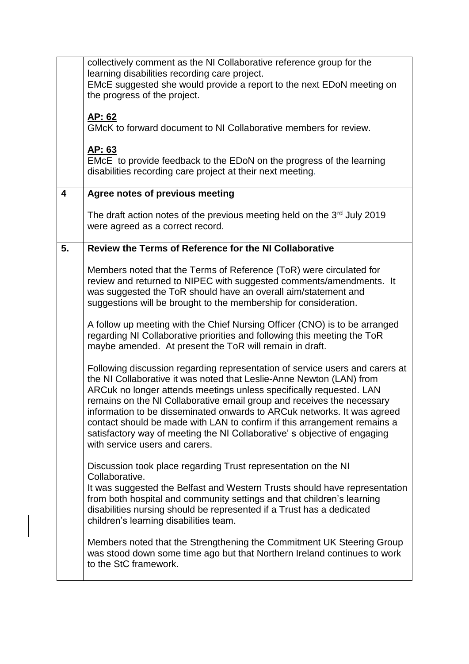|                         | collectively comment as the NI Collaborative reference group for the                                                                                 |  |  |
|-------------------------|------------------------------------------------------------------------------------------------------------------------------------------------------|--|--|
|                         | learning disabilities recording care project.<br>EMcE suggested she would provide a report to the next EDoN meeting on                               |  |  |
|                         | the progress of the project.                                                                                                                         |  |  |
|                         |                                                                                                                                                      |  |  |
|                         | <u>AP: 62</u><br>GMcK to forward document to NI Collaborative members for review.                                                                    |  |  |
|                         |                                                                                                                                                      |  |  |
|                         | AP: 63                                                                                                                                               |  |  |
|                         | EMCE to provide feedback to the EDoN on the progress of the learning<br>disabilities recording care project at their next meeting.                   |  |  |
|                         |                                                                                                                                                      |  |  |
| $\overline{\mathbf{4}}$ | Agree notes of previous meeting                                                                                                                      |  |  |
|                         | The draft action notes of the previous meeting held on the $3rd$ July 2019                                                                           |  |  |
|                         | were agreed as a correct record.                                                                                                                     |  |  |
| 5.                      | Review the Terms of Reference for the NI Collaborative                                                                                               |  |  |
|                         |                                                                                                                                                      |  |  |
|                         | Members noted that the Terms of Reference (ToR) were circulated for                                                                                  |  |  |
|                         | review and returned to NIPEC with suggested comments/amendments. It<br>was suggested the ToR should have an overall aim/statement and                |  |  |
|                         | suggestions will be brought to the membership for consideration.                                                                                     |  |  |
|                         |                                                                                                                                                      |  |  |
|                         | A follow up meeting with the Chief Nursing Officer (CNO) is to be arranged                                                                           |  |  |
|                         | regarding NI Collaborative priorities and following this meeting the ToR<br>maybe amended. At present the ToR will remain in draft.                  |  |  |
|                         |                                                                                                                                                      |  |  |
|                         | Following discussion regarding representation of service users and carers at<br>the NI Collaborative it was noted that Leslie-Anne Newton (LAN) from |  |  |
|                         | ARCuk no longer attends meetings unless specifically requested. LAN                                                                                  |  |  |
|                         | remains on the NI Collaborative email group and receives the necessary                                                                               |  |  |
|                         | information to be disseminated onwards to ARCuk networks. It was agreed<br>contact should be made with LAN to confirm if this arrangement remains a  |  |  |
|                         | satisfactory way of meeting the NI Collaborative's objective of engaging                                                                             |  |  |
|                         | with service users and carers.                                                                                                                       |  |  |
|                         | Discussion took place regarding Trust representation on the NI                                                                                       |  |  |
|                         | Collaborative.                                                                                                                                       |  |  |
|                         | It was suggested the Belfast and Western Trusts should have representation                                                                           |  |  |
|                         | from both hospital and community settings and that children's learning<br>disabilities nursing should be represented if a Trust has a dedicated      |  |  |
|                         | children's learning disabilities team.                                                                                                               |  |  |
|                         |                                                                                                                                                      |  |  |
|                         | Members noted that the Strengthening the Commitment UK Steering Group<br>was stood down some time ago but that Northern Ireland continues to work    |  |  |
|                         | to the StC framework.                                                                                                                                |  |  |
|                         |                                                                                                                                                      |  |  |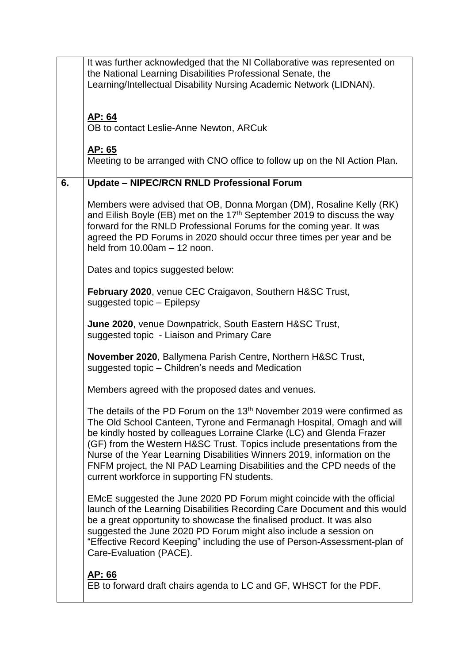|    | It was further acknowledged that the NI Collaborative was represented on<br>the National Learning Disabilities Professional Senate, the<br>Learning/Intellectual Disability Nursing Academic Network (LIDNAN).<br>AP: 64<br>OB to contact Leslie-Anne Newton, ARCuk                                                                                                                                                                                                                                                     |  |  |
|----|-------------------------------------------------------------------------------------------------------------------------------------------------------------------------------------------------------------------------------------------------------------------------------------------------------------------------------------------------------------------------------------------------------------------------------------------------------------------------------------------------------------------------|--|--|
|    | <u>AP: 65</u><br>Meeting to be arranged with CNO office to follow up on the NI Action Plan.                                                                                                                                                                                                                                                                                                                                                                                                                             |  |  |
| 6. | <b>Update - NIPEC/RCN RNLD Professional Forum</b>                                                                                                                                                                                                                                                                                                                                                                                                                                                                       |  |  |
|    | Members were advised that OB, Donna Morgan (DM), Rosaline Kelly (RK)<br>and Eilish Boyle (EB) met on the 17 <sup>th</sup> September 2019 to discuss the way<br>forward for the RNLD Professional Forums for the coming year. It was<br>agreed the PD Forums in 2020 should occur three times per year and be<br>held from $10.00am - 12$ noon.                                                                                                                                                                          |  |  |
|    | Dates and topics suggested below:                                                                                                                                                                                                                                                                                                                                                                                                                                                                                       |  |  |
|    | February 2020, venue CEC Craigavon, Southern H&SC Trust,<br>suggested topic - Epilepsy                                                                                                                                                                                                                                                                                                                                                                                                                                  |  |  |
|    | June 2020, venue Downpatrick, South Eastern H&SC Trust,<br>suggested topic - Liaison and Primary Care                                                                                                                                                                                                                                                                                                                                                                                                                   |  |  |
|    | <b>November 2020, Ballymena Parish Centre, Northern H&amp;SC Trust,</b><br>suggested topic - Children's needs and Medication                                                                                                                                                                                                                                                                                                                                                                                            |  |  |
|    | Members agreed with the proposed dates and venues.                                                                                                                                                                                                                                                                                                                                                                                                                                                                      |  |  |
|    | The details of the PD Forum on the 13 <sup>th</sup> November 2019 were confirmed as<br>The Old School Canteen, Tyrone and Fermanagh Hospital, Omagh and will<br>be kindly hosted by colleagues Lorraine Clarke (LC) and Glenda Frazer<br>(GF) from the Western H&SC Trust. Topics include presentations from the<br>Nurse of the Year Learning Disabilities Winners 2019, information on the<br>FNFM project, the NI PAD Learning Disabilities and the CPD needs of the<br>current workforce in supporting FN students. |  |  |
|    | EMCE suggested the June 2020 PD Forum might coincide with the official<br>launch of the Learning Disabilities Recording Care Document and this would<br>be a great opportunity to showcase the finalised product. It was also<br>suggested the June 2020 PD Forum might also include a session on<br>"Effective Record Keeping" including the use of Person-Assessment-plan of<br>Care-Evaluation (PACE).                                                                                                               |  |  |
|    | AP: 66<br>EB to forward draft chairs agenda to LC and GF, WHSCT for the PDF.                                                                                                                                                                                                                                                                                                                                                                                                                                            |  |  |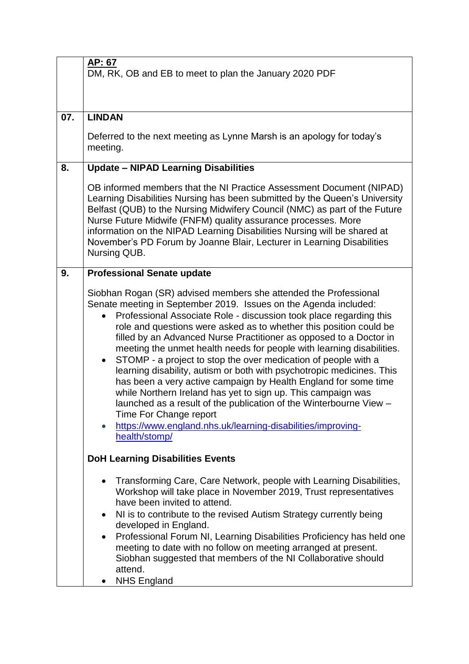|     | AP: 67<br>DM, RK, OB and EB to meet to plan the January 2020 PDF                                                                                                                                                                                                                                                                                                                                                                                                                                                                                                                                                                                                                                                                                                                                                                                                                                                                                |  |  |
|-----|-------------------------------------------------------------------------------------------------------------------------------------------------------------------------------------------------------------------------------------------------------------------------------------------------------------------------------------------------------------------------------------------------------------------------------------------------------------------------------------------------------------------------------------------------------------------------------------------------------------------------------------------------------------------------------------------------------------------------------------------------------------------------------------------------------------------------------------------------------------------------------------------------------------------------------------------------|--|--|
| 07. | <b>LINDAN</b>                                                                                                                                                                                                                                                                                                                                                                                                                                                                                                                                                                                                                                                                                                                                                                                                                                                                                                                                   |  |  |
|     | Deferred to the next meeting as Lynne Marsh is an apology for today's<br>meeting.                                                                                                                                                                                                                                                                                                                                                                                                                                                                                                                                                                                                                                                                                                                                                                                                                                                               |  |  |
| 8.  | <b>Update - NIPAD Learning Disabilities</b>                                                                                                                                                                                                                                                                                                                                                                                                                                                                                                                                                                                                                                                                                                                                                                                                                                                                                                     |  |  |
|     | OB informed members that the NI Practice Assessment Document (NIPAD)<br>Learning Disabilities Nursing has been submitted by the Queen's University<br>Belfast (QUB) to the Nursing Midwifery Council (NMC) as part of the Future<br>Nurse Future Midwife (FNFM) quality assurance processes. More<br>information on the NIPAD Learning Disabilities Nursing will be shared at<br>November's PD Forum by Joanne Blair, Lecturer in Learning Disabilities<br>Nursing QUB.                                                                                                                                                                                                                                                                                                                                                                                                                                                                         |  |  |
| 9.  | <b>Professional Senate update</b><br>Siobhan Rogan (SR) advised members she attended the Professional<br>Senate meeting in September 2019. Issues on the Agenda included:<br>Professional Associate Role - discussion took place regarding this<br>role and questions were asked as to whether this position could be<br>filled by an Advanced Nurse Practitioner as opposed to a Doctor in<br>meeting the unmet health needs for people with learning disabilities.<br>STOMP - a project to stop the over medication of people with a<br>$\bullet$<br>learning disability, autism or both with psychotropic medicines. This<br>has been a very active campaign by Health England for some time<br>while Northern Ireland has yet to sign up. This campaign was<br>launched as a result of the publication of the Winterbourne View -<br>Time For Change report<br>https://www.england.nhs.uk/learning-disabilities/improving-<br>health/stomp/ |  |  |
|     | <b>DoH Learning Disabilities Events</b>                                                                                                                                                                                                                                                                                                                                                                                                                                                                                                                                                                                                                                                                                                                                                                                                                                                                                                         |  |  |
|     | Transforming Care, Care Network, people with Learning Disabilities,<br>Workshop will take place in November 2019, Trust representatives<br>have been invited to attend.<br>NI is to contribute to the revised Autism Strategy currently being<br>developed in England.<br>Professional Forum NI, Learning Disabilities Proficiency has held one<br>$\bullet$<br>meeting to date with no follow on meeting arranged at present.<br>Siobhan suggested that members of the NI Collaborative should<br>attend.<br><b>NHS England</b>                                                                                                                                                                                                                                                                                                                                                                                                                |  |  |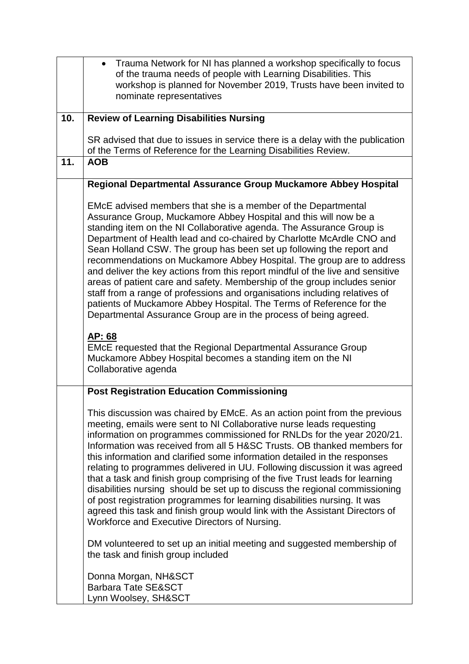|     | Trauma Network for NI has planned a workshop specifically to focus<br>$\bullet$<br>of the trauma needs of people with Learning Disabilities. This                                                                                                                                                                                                                                                                                                                                                                                                                                                                                                                                                                                                                                                                                              |  |  |  |  |
|-----|------------------------------------------------------------------------------------------------------------------------------------------------------------------------------------------------------------------------------------------------------------------------------------------------------------------------------------------------------------------------------------------------------------------------------------------------------------------------------------------------------------------------------------------------------------------------------------------------------------------------------------------------------------------------------------------------------------------------------------------------------------------------------------------------------------------------------------------------|--|--|--|--|
|     | workshop is planned for November 2019, Trusts have been invited to                                                                                                                                                                                                                                                                                                                                                                                                                                                                                                                                                                                                                                                                                                                                                                             |  |  |  |  |
|     | nominate representatives                                                                                                                                                                                                                                                                                                                                                                                                                                                                                                                                                                                                                                                                                                                                                                                                                       |  |  |  |  |
| 10. | <b>Review of Learning Disabilities Nursing</b>                                                                                                                                                                                                                                                                                                                                                                                                                                                                                                                                                                                                                                                                                                                                                                                                 |  |  |  |  |
|     | SR advised that due to issues in service there is a delay with the publication                                                                                                                                                                                                                                                                                                                                                                                                                                                                                                                                                                                                                                                                                                                                                                 |  |  |  |  |
| 11. | of the Terms of Reference for the Learning Disabilities Review.<br><b>AOB</b>                                                                                                                                                                                                                                                                                                                                                                                                                                                                                                                                                                                                                                                                                                                                                                  |  |  |  |  |
|     |                                                                                                                                                                                                                                                                                                                                                                                                                                                                                                                                                                                                                                                                                                                                                                                                                                                |  |  |  |  |
|     | Regional Departmental Assurance Group Muckamore Abbey Hospital                                                                                                                                                                                                                                                                                                                                                                                                                                                                                                                                                                                                                                                                                                                                                                                 |  |  |  |  |
|     | EMcE advised members that she is a member of the Departmental<br>Assurance Group, Muckamore Abbey Hospital and this will now be a<br>standing item on the NI Collaborative agenda. The Assurance Group is<br>Department of Health lead and co-chaired by Charlotte McArdle CNO and<br>Sean Holland CSW. The group has been set up following the report and<br>recommendations on Muckamore Abbey Hospital. The group are to address<br>and deliver the key actions from this report mindful of the live and sensitive<br>areas of patient care and safety. Membership of the group includes senior<br>staff from a range of professions and organisations including relatives of<br>patients of Muckamore Abbey Hospital. The Terms of Reference for the<br>Departmental Assurance Group are in the process of being agreed.<br>AP: 68         |  |  |  |  |
|     | <b>EMCE requested that the Regional Departmental Assurance Group</b><br>Muckamore Abbey Hospital becomes a standing item on the NI<br>Collaborative agenda                                                                                                                                                                                                                                                                                                                                                                                                                                                                                                                                                                                                                                                                                     |  |  |  |  |
|     | <b>Post Registration Education Commissioning</b>                                                                                                                                                                                                                                                                                                                                                                                                                                                                                                                                                                                                                                                                                                                                                                                               |  |  |  |  |
|     | This discussion was chaired by EMcE. As an action point from the previous<br>meeting, emails were sent to NI Collaborative nurse leads requesting<br>information on programmes commissioned for RNLDs for the year 2020/21.<br>Information was received from all 5 H&SC Trusts. OB thanked members for<br>this information and clarified some information detailed in the responses<br>relating to programmes delivered in UU. Following discussion it was agreed<br>that a task and finish group comprising of the five Trust leads for learning<br>disabilities nursing should be set up to discuss the regional commissioning<br>of post registration programmes for learning disabilities nursing. It was<br>agreed this task and finish group would link with the Assistant Directors of<br>Workforce and Executive Directors of Nursing. |  |  |  |  |
|     | DM volunteered to set up an initial meeting and suggested membership of<br>the task and finish group included                                                                                                                                                                                                                                                                                                                                                                                                                                                                                                                                                                                                                                                                                                                                  |  |  |  |  |
|     | Donna Morgan, NH&SCT<br><b>Barbara Tate SE&amp;SCT</b><br>Lynn Woolsey, SH&SCT                                                                                                                                                                                                                                                                                                                                                                                                                                                                                                                                                                                                                                                                                                                                                                 |  |  |  |  |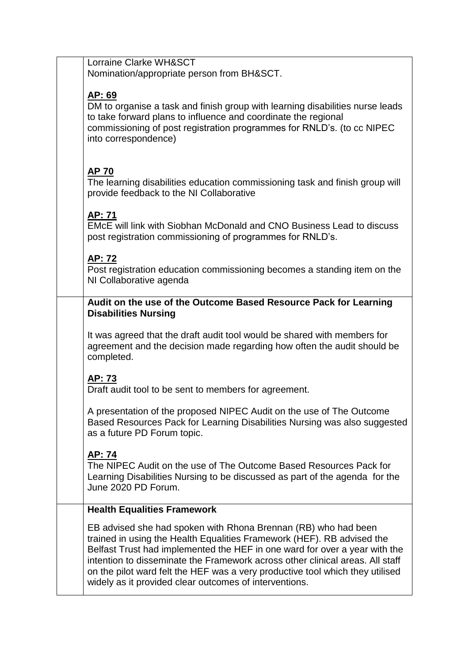Lorraine Clarke WH&SCT Nomination/appropriate person from BH&SCT.

## **AP: 69**

DM to organise a task and finish group with learning disabilities nurse leads to take forward plans to influence and coordinate the regional commissioning of post registration programmes for RNLD's. (to cc NIPEC into correspondence)

# **AP 70**

The learning disabilities education commissioning task and finish group will provide feedback to the NI Collaborative

# **AP: 71**

EMcE will link with Siobhan McDonald and CNO Business Lead to discuss post registration commissioning of programmes for RNLD's.

# **AP: 72**

Post registration education commissioning becomes a standing item on the NI Collaborative agenda

## **Audit on the use of the Outcome Based Resource Pack for Learning Disabilities Nursing**

It was agreed that the draft audit tool would be shared with members for agreement and the decision made regarding how often the audit should be completed.

## **AP: 73**

Draft audit tool to be sent to members for agreement.

A presentation of the proposed NIPEC Audit on the use of The Outcome Based Resources Pack for Learning Disabilities Nursing was also suggested as a future PD Forum topic.

# **AP: 74**

The NIPEC Audit on the use of The Outcome Based Resources Pack for Learning Disabilities Nursing to be discussed as part of the agenda for the June 2020 PD Forum.

# **Health Equalities Framework**

EB advised she had spoken with Rhona Brennan (RB) who had been trained in using the Health Equalities Framework (HEF). RB advised the Belfast Trust had implemented the HEF in one ward for over a year with the intention to disseminate the Framework across other clinical areas. All staff on the pilot ward felt the HEF was a very productive tool which they utilised widely as it provided clear outcomes of interventions.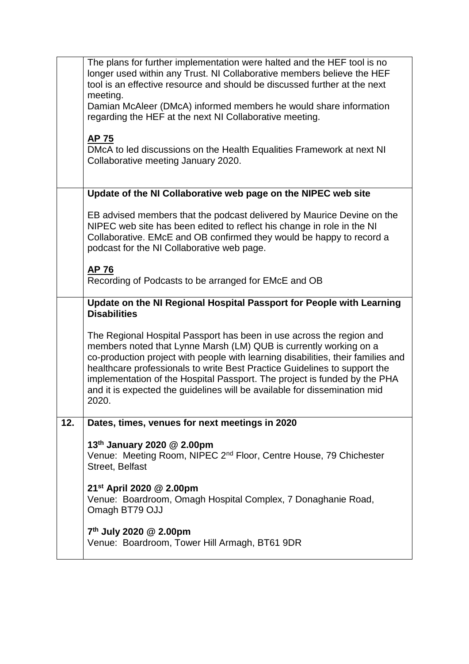|     | The plans for further implementation were halted and the HEF tool is no<br>longer used within any Trust. NI Collaborative members believe the HEF<br>tool is an effective resource and should be discussed further at the next                                                                                                                                                                                                                                                |  |  |  |  |
|-----|-------------------------------------------------------------------------------------------------------------------------------------------------------------------------------------------------------------------------------------------------------------------------------------------------------------------------------------------------------------------------------------------------------------------------------------------------------------------------------|--|--|--|--|
|     | meeting.<br>Damian McAleer (DMcA) informed members he would share information<br>regarding the HEF at the next NI Collaborative meeting.                                                                                                                                                                                                                                                                                                                                      |  |  |  |  |
|     | <b>AP 75</b><br>DMcA to led discussions on the Health Equalities Framework at next NI<br>Collaborative meeting January 2020.                                                                                                                                                                                                                                                                                                                                                  |  |  |  |  |
|     | Update of the NI Collaborative web page on the NIPEC web site                                                                                                                                                                                                                                                                                                                                                                                                                 |  |  |  |  |
|     | EB advised members that the podcast delivered by Maurice Devine on the<br>NIPEC web site has been edited to reflect his change in role in the NI<br>Collaborative. EMcE and OB confirmed they would be happy to record a<br>podcast for the NI Collaborative web page.                                                                                                                                                                                                        |  |  |  |  |
|     | <b>AP 76</b><br>Recording of Podcasts to be arranged for EMcE and OB                                                                                                                                                                                                                                                                                                                                                                                                          |  |  |  |  |
|     | Update on the NI Regional Hospital Passport for People with Learning<br><b>Disabilities</b>                                                                                                                                                                                                                                                                                                                                                                                   |  |  |  |  |
|     | The Regional Hospital Passport has been in use across the region and<br>members noted that Lynne Marsh (LM) QUB is currently working on a<br>co-production project with people with learning disabilities, their families and<br>healthcare professionals to write Best Practice Guidelines to support the<br>implementation of the Hospital Passport. The project is funded by the PHA<br>and it is expected the guidelines will be available for dissemination mid<br>2020. |  |  |  |  |
| 12. | Dates, times, venues for next meetings in 2020                                                                                                                                                                                                                                                                                                                                                                                                                                |  |  |  |  |
|     | 13 <sup>th</sup> January 2020 @ 2.00pm<br>Venue: Meeting Room, NIPEC 2 <sup>nd</sup> Floor, Centre House, 79 Chichester<br>Street, Belfast                                                                                                                                                                                                                                                                                                                                    |  |  |  |  |
|     | 21 <sup>st</sup> April 2020 @ 2.00pm<br>Venue: Boardroom, Omagh Hospital Complex, 7 Donaghanie Road,<br>Omagh BT79 OJJ                                                                                                                                                                                                                                                                                                                                                        |  |  |  |  |
|     | 7 <sup>th</sup> July 2020 @ 2.00pm<br>Venue: Boardroom, Tower Hill Armagh, BT61 9DR                                                                                                                                                                                                                                                                                                                                                                                           |  |  |  |  |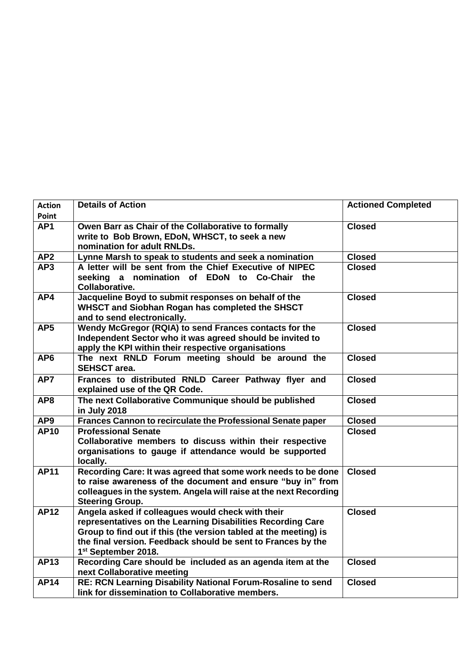| <b>Action</b>            | <b>Details of Action</b>                                                                                                                                                                                                                                                                | <b>Actioned Completed</b> |
|--------------------------|-----------------------------------------------------------------------------------------------------------------------------------------------------------------------------------------------------------------------------------------------------------------------------------------|---------------------------|
| Point<br>AP <sub>1</sub> | Owen Barr as Chair of the Collaborative to formally<br>write to Bob Brown, EDoN, WHSCT, to seek a new<br>nomination for adult RNLDs.                                                                                                                                                    | <b>Closed</b>             |
| AP <sub>2</sub>          | Lynne Marsh to speak to students and seek a nomination                                                                                                                                                                                                                                  | <b>Closed</b>             |
| AP3                      | A letter will be sent from the Chief Executive of NIPEC<br>seeking a nomination of EDoN to Co-Chair the<br>Collaborative.                                                                                                                                                               | <b>Closed</b>             |
| AP4                      | Jacqueline Boyd to submit responses on behalf of the<br>WHSCT and Siobhan Rogan has completed the SHSCT<br>and to send electronically.                                                                                                                                                  | <b>Closed</b>             |
| AP <sub>5</sub>          | Wendy McGregor (RQIA) to send Frances contacts for the<br>Independent Sector who it was agreed should be invited to<br>apply the KPI within their respective organisations                                                                                                              | <b>Closed</b>             |
| AP <sub>6</sub>          | The next RNLD Forum meeting should be around the<br><b>SEHSCT area.</b>                                                                                                                                                                                                                 | <b>Closed</b>             |
| AP7                      | Frances to distributed RNLD Career Pathway flyer and<br>explained use of the QR Code.                                                                                                                                                                                                   | <b>Closed</b>             |
| AP8                      | The next Collaborative Communique should be published<br>in July 2018                                                                                                                                                                                                                   | <b>Closed</b>             |
| AP9                      | Frances Cannon to recirculate the Professional Senate paper                                                                                                                                                                                                                             | <b>Closed</b>             |
| <b>AP10</b>              | <b>Professional Senate</b><br>Collaborative members to discuss within their respective<br>organisations to gauge if attendance would be supported<br>locally.                                                                                                                           | <b>Closed</b>             |
| <b>AP11</b>              | Recording Care: It was agreed that some work needs to be done<br>to raise awareness of the document and ensure "buy in" from<br>colleagues in the system. Angela will raise at the next Recording<br><b>Steering Group.</b>                                                             | <b>Closed</b>             |
| <b>AP12</b>              | Angela asked if colleagues would check with their<br>representatives on the Learning Disabilities Recording Care<br>Group to find out if this (the version tabled at the meeting) is<br>the final version. Feedback should be sent to Frances by the<br>1 <sup>st</sup> September 2018. | <b>Closed</b>             |
| <b>AP13</b>              | Recording Care should be included as an agenda item at the<br>next Collaborative meeting                                                                                                                                                                                                | <b>Closed</b>             |
| <b>AP14</b>              | RE: RCN Learning Disability National Forum-Rosaline to send<br>link for dissemination to Collaborative members.                                                                                                                                                                         | <b>Closed</b>             |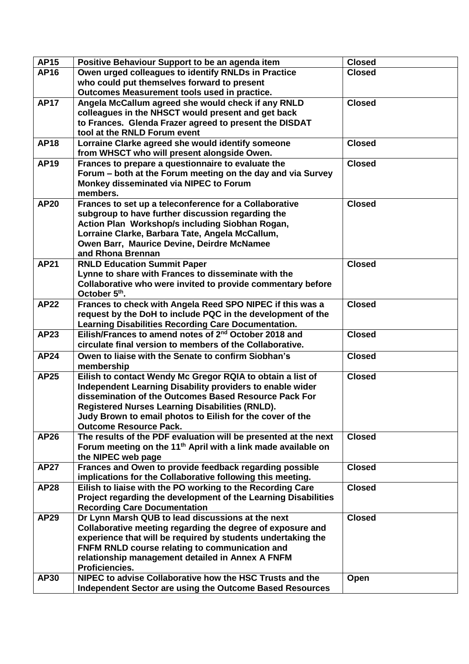| <b>AP15</b> | Positive Behaviour Support to be an agenda item                                                    | <b>Closed</b> |
|-------------|----------------------------------------------------------------------------------------------------|---------------|
| <b>AP16</b> | Owen urged colleagues to identify RNLDs in Practice                                                | <b>Closed</b> |
|             | who could put themselves forward to present                                                        |               |
|             | Outcomes Measurement tools used in practice.                                                       |               |
| <b>AP17</b> | Angela McCallum agreed she would check if any RNLD                                                 | <b>Closed</b> |
|             | colleagues in the NHSCT would present and get back                                                 |               |
|             | to Frances. Glenda Frazer agreed to present the DISDAT                                             |               |
|             | tool at the RNLD Forum event                                                                       |               |
| <b>AP18</b> | Lorraine Clarke agreed she would identify someone                                                  | <b>Closed</b> |
|             | from WHSCT who will present alongside Owen.                                                        |               |
| <b>AP19</b> | Frances to prepare a questionnaire to evaluate the                                                 | <b>Closed</b> |
|             | Forum – both at the Forum meeting on the day and via Survey                                        |               |
|             | Monkey disseminated via NIPEC to Forum                                                             |               |
|             | members.                                                                                           |               |
| <b>AP20</b> | Frances to set up a teleconference for a Collaborative                                             | <b>Closed</b> |
|             | subgroup to have further discussion regarding the                                                  |               |
|             | Action Plan Workshop/s including Siobhan Rogan,<br>Lorraine Clarke, Barbara Tate, Angela McCallum, |               |
|             | Owen Barr, Maurice Devine, Deirdre McNamee                                                         |               |
|             | and Rhona Brennan                                                                                  |               |
| <b>AP21</b> | <b>RNLD Education Summit Paper</b>                                                                 | <b>Closed</b> |
|             | Lynne to share with Frances to disseminate with the                                                |               |
|             | Collaborative who were invited to provide commentary before                                        |               |
|             | October 5 <sup>th</sup> .                                                                          |               |
| <b>AP22</b> | Frances to check with Angela Reed SPO NIPEC if this was a                                          | <b>Closed</b> |
|             | request by the DoH to include PQC in the development of the                                        |               |
|             | <b>Learning Disabilities Recording Care Documentation.</b>                                         |               |
| AP23        | Eilish/Frances to amend notes of 2 <sup>nd</sup> October 2018 and                                  | <b>Closed</b> |
|             | circulate final version to members of the Collaborative.                                           |               |
| <b>AP24</b> | Owen to liaise with the Senate to confirm Siobhan's                                                | <b>Closed</b> |
|             | membership                                                                                         |               |
| <b>AP25</b> | Eilish to contact Wendy Mc Gregor RQIA to obtain a list of                                         | <b>Closed</b> |
|             | Independent Learning Disability providers to enable wider                                          |               |
|             | dissemination of the Outcomes Based Resource Pack For                                              |               |
|             | <b>Registered Nurses Learning Disabilities (RNLD).</b>                                             |               |
|             | Judy Brown to email photos to Eilish for the cover of the                                          |               |
|             | <b>Outcome Resource Pack.</b>                                                                      |               |
| <b>AP26</b> | The results of the PDF evaluation will be presented at the next                                    | <b>Closed</b> |
|             | Forum meeting on the 11 <sup>th</sup> April with a link made available on                          |               |
| <b>AP27</b> | the NIPEC web page<br>Frances and Owen to provide feedback regarding possible                      | <b>Closed</b> |
|             | implications for the Collaborative following this meeting.                                         |               |
| <b>AP28</b> | Eilish to liaise with the PO working to the Recording Care                                         | <b>Closed</b> |
|             | Project regarding the development of the Learning Disabilities                                     |               |
|             | <b>Recording Care Documentation</b>                                                                |               |
| <b>AP29</b> | Dr Lynn Marsh QUB to lead discussions at the next                                                  | <b>Closed</b> |
|             | Collaborative meeting regarding the degree of exposure and                                         |               |
|             | experience that will be required by students undertaking the                                       |               |
|             | FNFM RNLD course relating to communication and                                                     |               |
|             | relationship management detailed in Annex A FNFM                                                   |               |
|             | Proficiencies.                                                                                     |               |
| <b>AP30</b> | NIPEC to advise Collaborative how the HSC Trusts and the                                           | Open          |
|             | Independent Sector are using the Outcome Based Resources                                           |               |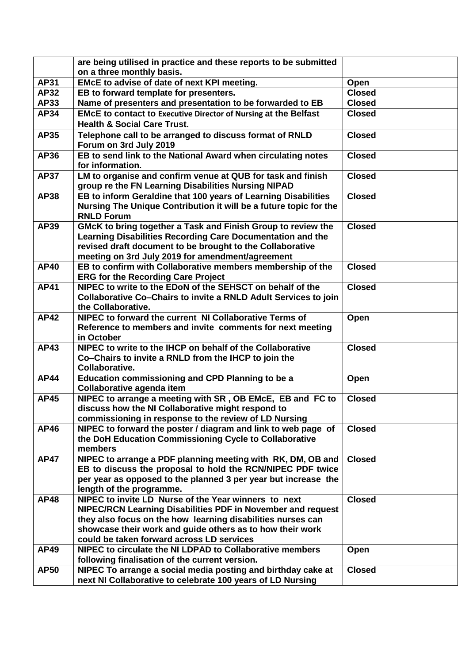|             | are being utilised in practice and these reports to be submitted       |               |
|-------------|------------------------------------------------------------------------|---------------|
|             | on a three monthly basis.                                              |               |
| <b>AP31</b> | EMcE to advise of date of next KPI meeting.                            | Open          |
| <b>AP32</b> | EB to forward template for presenters.                                 | <b>Closed</b> |
| <b>AP33</b> | Name of presenters and presentation to be forwarded to EB              | <b>Closed</b> |
| AP34        | <b>EMCE to contact to Executive Director of Nursing at the Belfast</b> | <b>Closed</b> |
|             | <b>Health &amp; Social Care Trust.</b>                                 |               |
| <b>AP35</b> | Telephone call to be arranged to discuss format of RNLD                | <b>Closed</b> |
|             | Forum on 3rd July 2019                                                 |               |
| AP36        | EB to send link to the National Award when circulating notes           | <b>Closed</b> |
|             | for information.                                                       |               |
| <b>AP37</b> | LM to organise and confirm venue at QUB for task and finish            | <b>Closed</b> |
|             | group re the FN Learning Disabilities Nursing NIPAD                    |               |
| <b>AP38</b> | EB to inform Geraldine that 100 years of Learning Disabilities         | <b>Closed</b> |
|             | Nursing The Unique Contribution it will be a future topic for the      |               |
|             | <b>RNLD Forum</b>                                                      |               |
| <b>AP39</b> | GMcK to bring together a Task and Finish Group to review the           | <b>Closed</b> |
|             | Learning Disabilities Recording Care Documentation and the             |               |
|             | revised draft document to be brought to the Collaborative              |               |
|             | meeting on 3rd July 2019 for amendment/agreement                       |               |
| <b>AP40</b> | EB to confirm with Collaborative members membership of the             | <b>Closed</b> |
|             | <b>ERG for the Recording Care Project</b>                              |               |
| <b>AP41</b> | NIPEC to write to the EDoN of the SEHSCT on behalf of the              | <b>Closed</b> |
|             | Collaborative Co-Chairs to invite a RNLD Adult Services to join        |               |
|             | the Collaborative.                                                     |               |
| <b>AP42</b> | NIPEC to forward the current NI Collaborative Terms of                 | Open          |
|             | Reference to members and invite comments for next meeting              |               |
|             | in October                                                             |               |
| <b>AP43</b> | NIPEC to write to the IHCP on behalf of the Collaborative              | <b>Closed</b> |
|             | Co-Chairs to invite a RNLD from the IHCP to join the<br>Collaborative. |               |
| <b>AP44</b> | Education commissioning and CPD Planning to be a                       | Open          |
|             | Collaborative agenda item                                              |               |
| <b>AP45</b> | NIPEC to arrange a meeting with SR, OB EMcE, EB and FC to              | <b>Closed</b> |
|             | discuss how the NI Collaborative might respond to                      |               |
|             | commissioning in response to the review of LD Nursing                  |               |
| <b>AP46</b> | NIPEC to forward the poster / diagram and link to web page of          | <b>Closed</b> |
|             | the DoH Education Commissioning Cycle to Collaborative                 |               |
|             | members                                                                |               |
| <b>AP47</b> | NIPEC to arrange a PDF planning meeting with RK, DM, OB and            | <b>Closed</b> |
|             | EB to discuss the proposal to hold the RCN/NIPEC PDF twice             |               |
|             | per year as opposed to the planned 3 per year but increase the         |               |
|             | length of the programme.                                               |               |
| <b>AP48</b> | NIPEC to invite LD Nurse of the Year winners to next                   | <b>Closed</b> |
|             | NIPEC/RCN Learning Disabilities PDF in November and request            |               |
|             | they also focus on the how learning disabilities nurses can            |               |
|             | showcase their work and guide others as to how their work              |               |
|             | could be taken forward across LD services                              |               |
| <b>AP49</b> | NIPEC to circulate the NI LDPAD to Collaborative members               | Open          |
|             | following finalisation of the current version.                         |               |
| <b>AP50</b> | NIPEC To arrange a social media posting and birthday cake at           | <b>Closed</b> |
|             | next NI Collaborative to celebrate 100 years of LD Nursing             |               |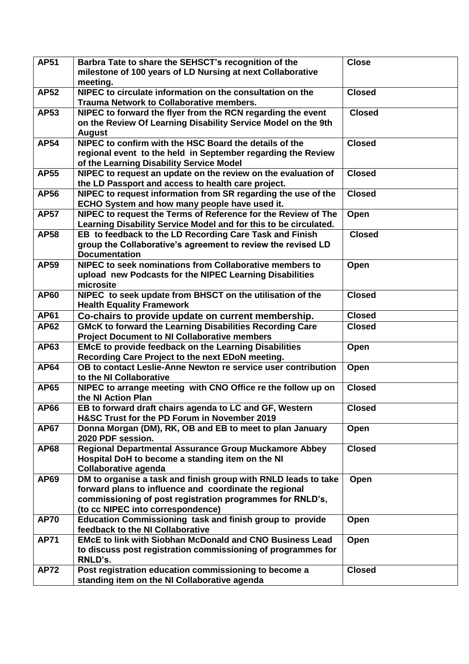| <b>AP51</b> | Barbra Tate to share the SEHSCT's recognition of the<br>milestone of 100 years of LD Nursing at next Collaborative | <b>Close</b>  |
|-------------|--------------------------------------------------------------------------------------------------------------------|---------------|
|             | meeting.                                                                                                           |               |
| <b>AP52</b> | NIPEC to circulate information on the consultation on the                                                          | <b>Closed</b> |
|             | <b>Trauma Network to Collaborative members.</b>                                                                    |               |
| <b>AP53</b> | NIPEC to forward the flyer from the RCN regarding the event                                                        | <b>Closed</b> |
|             | on the Review Of Learning Disability Service Model on the 9th                                                      |               |
|             | <b>August</b>                                                                                                      |               |
| <b>AP54</b> | NIPEC to confirm with the HSC Board the details of the                                                             | <b>Closed</b> |
|             | regional event to the held in September regarding the Review                                                       |               |
|             | of the Learning Disability Service Model                                                                           |               |
| <b>AP55</b> | NIPEC to request an update on the review on the evaluation of                                                      | <b>Closed</b> |
|             | the LD Passport and access to health care project.                                                                 |               |
| <b>AP56</b> | NIPEC to request information from SR regarding the use of the                                                      | <b>Closed</b> |
|             | ECHO System and how many people have used it.                                                                      |               |
| <b>AP57</b> | NIPEC to request the Terms of Reference for the Review of The                                                      | Open          |
|             | Learning Disability Service Model and for this to be circulated.                                                   |               |
| <b>AP58</b> | EB to feedback to the LD Recording Care Task and Finish                                                            | <b>Closed</b> |
|             | group the Collaborative's agreement to review the revised LD                                                       |               |
|             | <b>Documentation</b>                                                                                               |               |
| <b>AP59</b> | NIPEC to seek nominations from Collaborative members to                                                            | Open          |
|             | upload new Podcasts for the NIPEC Learning Disabilities                                                            |               |
|             | microsite                                                                                                          |               |
| <b>AP60</b> | NIPEC to seek update from BHSCT on the utilisation of the                                                          | <b>Closed</b> |
|             | <b>Health Equality Framework</b>                                                                                   |               |
| <b>AP61</b> | Co-chairs to provide update on current membership.                                                                 | <b>Closed</b> |
| <b>AP62</b> | <b>GMcK to forward the Learning Disabilities Recording Care</b>                                                    | <b>Closed</b> |
|             | <b>Project Document to NI Collaborative members</b>                                                                |               |
| AP63        | <b>EMcE to provide feedback on the Learning Disabilities</b>                                                       | Open          |
|             | Recording Care Project to the next EDoN meeting.                                                                   |               |
| <b>AP64</b> | OB to contact Leslie-Anne Newton re service user contribution                                                      | Open          |
|             | to the NI Collaborative                                                                                            |               |
| <b>AP65</b> | NIPEC to arrange meeting with CNO Office re the follow up on                                                       | <b>Closed</b> |
|             | the NI Action Plan                                                                                                 |               |
| <b>AP66</b> | EB to forward draft chairs agenda to LC and GF, Western                                                            | <b>Closed</b> |
|             | H&SC Trust for the PD Forum in November 2019                                                                       |               |
| <b>AP67</b> | Donna Morgan (DM), RK, OB and EB to meet to plan January                                                           | Open          |
|             | 2020 PDF session.                                                                                                  |               |
| <b>AP68</b> | Regional Departmental Assurance Group Muckamore Abbey                                                              | <b>Closed</b> |
|             | Hospital DoH to become a standing item on the NI                                                                   |               |
|             | <b>Collaborative agenda</b>                                                                                        |               |
| <b>AP69</b> | DM to organise a task and finish group with RNLD leads to take                                                     | Open          |
|             | forward plans to influence and coordinate the regional                                                             |               |
|             | commissioning of post registration programmes for RNLD's,                                                          |               |
|             | (to cc NIPEC into correspondence)                                                                                  |               |
| <b>AP70</b> | Education Commissioning task and finish group to provide                                                           | Open          |
|             | feedback to the NI Collaborative                                                                                   |               |
| <b>AP71</b> | <b>EMCE to link with Siobhan McDonald and CNO Business Lead</b>                                                    | Open          |
|             | to discuss post registration commissioning of programmes for                                                       |               |
|             | RNLD's.                                                                                                            |               |
| <b>AP72</b> | Post registration education commissioning to become a                                                              | <b>Closed</b> |
|             | standing item on the NI Collaborative agenda                                                                       |               |